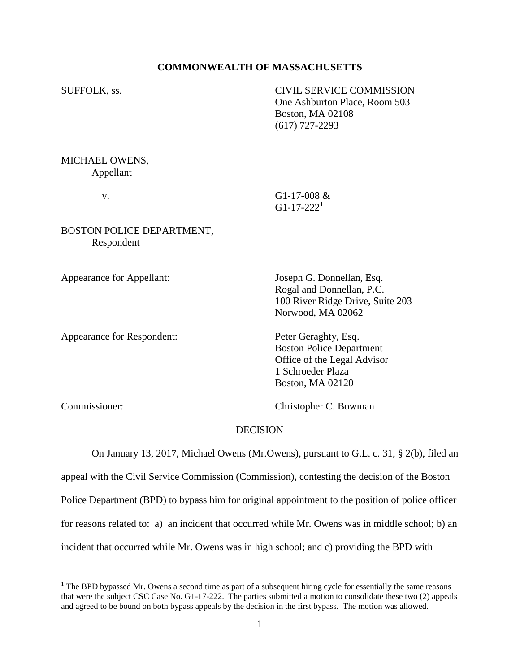## **COMMONWEALTH OF MASSACHUSETTS**

SUFFOLK, ss. CIVIL SERVICE COMMISSION One Ashburton Place, Room 503 Boston, MA 02108 (617) 727-2293 MICHAEL OWENS, Appellant v. G1-17-008 &  $G1-17-222<sup>1</sup>$ BOSTON POLICE DEPARTMENT, Respondent Appearance for Appellant: Joseph G. Donnellan, Esq. Rogal and Donnellan, P.C.

Appearance for Respondent: Peter Geraghty, Esq.

100 River Ridge Drive, Suite 203 Norwood, MA 02062

Boston Police Department Office of the Legal Advisor 1 Schroeder Plaza Boston, MA 02120

 $\overline{a}$ 

Commissioner: Christopher C. Bowman

# DECISION

On January 13, 2017, Michael Owens (Mr.Owens), pursuant to G.L. c. 31, § 2(b), filed an appeal with the Civil Service Commission (Commission), contesting the decision of the Boston Police Department (BPD) to bypass him for original appointment to the position of police officer for reasons related to: a) an incident that occurred while Mr. Owens was in middle school; b) an incident that occurred while Mr. Owens was in high school; and c) providing the BPD with

 $<sup>1</sup>$  The BPD bypassed Mr. Owens a second time as part of a subsequent hiring cycle for essentially the same reasons</sup> that were the subject CSC Case No. G1-17-222. The parties submitted a motion to consolidate these two (2) appeals and agreed to be bound on both bypass appeals by the decision in the first bypass. The motion was allowed.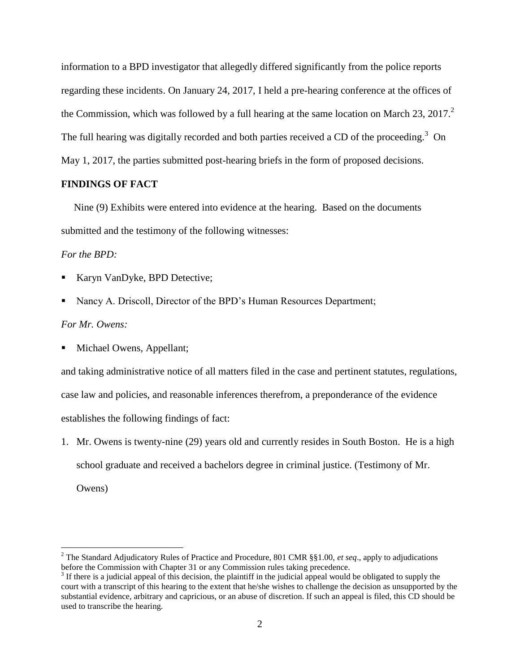information to a BPD investigator that allegedly differed significantly from the police reports regarding these incidents. On January 24, 2017, I held a pre-hearing conference at the offices of the Commission, which was followed by a full hearing at the same location on March 23, 2017. $^2$ The full hearing was digitally recorded and both parties received a CD of the proceeding.<sup>3</sup> On May 1, 2017, the parties submitted post-hearing briefs in the form of proposed decisions.

#### **FINDINGS OF FACT**

 Nine (9) Exhibits were entered into evidence at the hearing. Based on the documents submitted and the testimony of the following witnesses:

## *For the BPD:*

- Karyn VanDyke, BPD Detective;
- Nancy A. Driscoll, Director of the BPD's Human Resources Department;

## *For Mr. Owens:*

Michael Owens, Appellant;

and taking administrative notice of all matters filed in the case and pertinent statutes, regulations, case law and policies, and reasonable inferences therefrom, a preponderance of the evidence establishes the following findings of fact:

1. Mr. Owens is twenty-nine (29) years old and currently resides in South Boston. He is a high school graduate and received a bachelors degree in criminal justice. (Testimony of Mr.

Owens)

 $\overline{a}$ 

<sup>2</sup> The Standard Adjudicatory Rules of Practice and Procedure, 801 CMR §§1.00, *et seq*., apply to adjudications before the Commission with Chapter 31 or any Commission rules taking precedence.

 $3$  If there is a judicial appeal of this decision, the plaintiff in the judicial appeal would be obligated to supply the court with a transcript of this hearing to the extent that he/she wishes to challenge the decision as unsupported by the substantial evidence, arbitrary and capricious, or an abuse of discretion. If such an appeal is filed, this CD should be used to transcribe the hearing.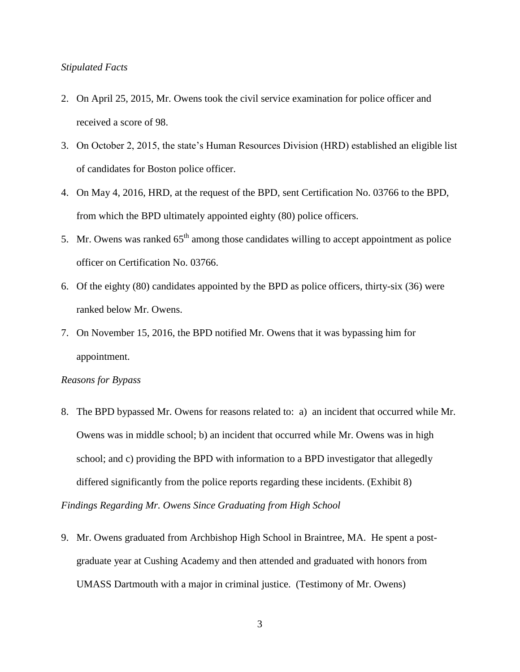## *Stipulated Facts*

- 2. On April 25, 2015, Mr. Owens took the civil service examination for police officer and received a score of 98.
- 3. On October 2, 2015, the state's Human Resources Division (HRD) established an eligible list of candidates for Boston police officer.
- 4. On May 4, 2016, HRD, at the request of the BPD, sent Certification No. 03766 to the BPD, from which the BPD ultimately appointed eighty (80) police officers.
- 5. Mr. Owens was ranked  $65<sup>th</sup>$  among those candidates willing to accept appointment as police officer on Certification No. 03766.
- 6. Of the eighty (80) candidates appointed by the BPD as police officers, thirty-six (36) were ranked below Mr. Owens.
- 7. On November 15, 2016, the BPD notified Mr. Owens that it was bypassing him for appointment.

# *Reasons for Bypass*

- 8. The BPD bypassed Mr. Owens for reasons related to: a) an incident that occurred while Mr. Owens was in middle school; b) an incident that occurred while Mr. Owens was in high school; and c) providing the BPD with information to a BPD investigator that allegedly differed significantly from the police reports regarding these incidents. (Exhibit 8) *Findings Regarding Mr. Owens Since Graduating from High School*
- 9. Mr. Owens graduated from Archbishop High School in Braintree, MA. He spent a postgraduate year at Cushing Academy and then attended and graduated with honors from UMASS Dartmouth with a major in criminal justice. (Testimony of Mr. Owens)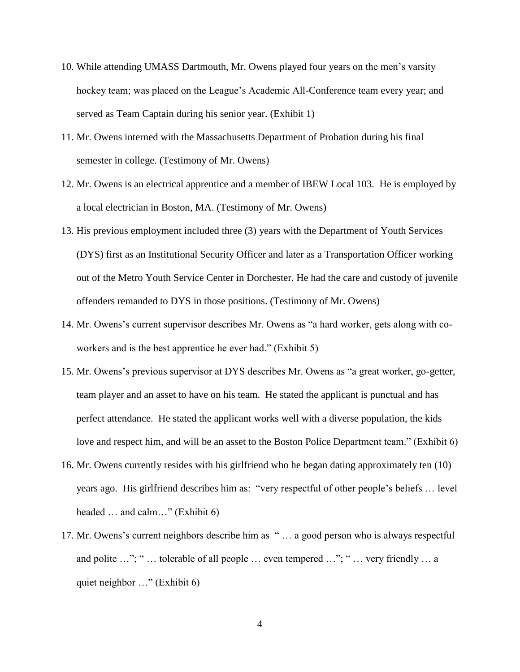- 10. While attending UMASS Dartmouth, Mr. Owens played four years on the men's varsity hockey team; was placed on the League's Academic All-Conference team every year; and served as Team Captain during his senior year. (Exhibit 1)
- 11. Mr. Owens interned with the Massachusetts Department of Probation during his final semester in college. (Testimony of Mr. Owens)
- 12. Mr. Owens is an electrical apprentice and a member of IBEW Local 103. He is employed by a local electrician in Boston, MA. (Testimony of Mr. Owens)
- 13. His previous employment included three (3) years with the Department of Youth Services (DYS) first as an Institutional Security Officer and later as a Transportation Officer working out of the Metro Youth Service Center in Dorchester. He had the care and custody of juvenile offenders remanded to DYS in those positions. (Testimony of Mr. Owens)
- 14. Mr. Owens's current supervisor describes Mr. Owens as "a hard worker, gets along with coworkers and is the best apprentice he ever had." (Exhibit 5)
- 15. Mr. Owens's previous supervisor at DYS describes Mr. Owens as "a great worker, go-getter, team player and an asset to have on his team. He stated the applicant is punctual and has perfect attendance. He stated the applicant works well with a diverse population, the kids love and respect him, and will be an asset to the Boston Police Department team." (Exhibit 6)
- 16. Mr. Owens currently resides with his girlfriend who he began dating approximately ten (10) years ago. His girlfriend describes him as: "very respectful of other people's beliefs … level headed … and calm…" (Exhibit 6)
- 17. Mr. Owens's current neighbors describe him as " … a good person who is always respectful and polite …"; " ... tolerable of all people ... even tempered ..."; " ... very friendly ... a quiet neighbor …" (Exhibit 6)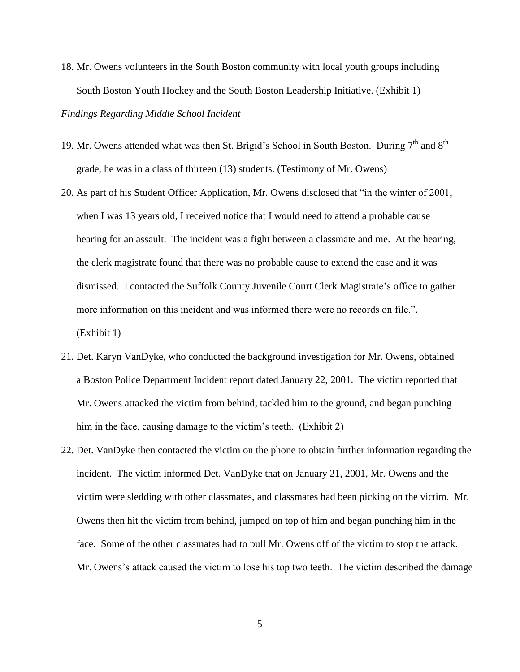- 18. Mr. Owens volunteers in the South Boston community with local youth groups including South Boston Youth Hockey and the South Boston Leadership Initiative. (Exhibit 1) *Findings Regarding Middle School Incident*
- 19. Mr. Owens attended what was then St. Brigid's School in South Boston. During  $7<sup>th</sup>$  and  $8<sup>th</sup>$ grade, he was in a class of thirteen (13) students. (Testimony of Mr. Owens)
- 20. As part of his Student Officer Application, Mr. Owens disclosed that "in the winter of 2001, when I was 13 years old, I received notice that I would need to attend a probable cause hearing for an assault. The incident was a fight between a classmate and me. At the hearing, the clerk magistrate found that there was no probable cause to extend the case and it was dismissed. I contacted the Suffolk County Juvenile Court Clerk Magistrate's office to gather more information on this incident and was informed there were no records on file.". (Exhibit 1)
- 21. Det. Karyn VanDyke, who conducted the background investigation for Mr. Owens, obtained a Boston Police Department Incident report dated January 22, 2001. The victim reported that Mr. Owens attacked the victim from behind, tackled him to the ground, and began punching him in the face, causing damage to the victim's teeth. (Exhibit 2)
- 22. Det. VanDyke then contacted the victim on the phone to obtain further information regarding the incident. The victim informed Det. VanDyke that on January 21, 2001, Mr. Owens and the victim were sledding with other classmates, and classmates had been picking on the victim. Mr. Owens then hit the victim from behind, jumped on top of him and began punching him in the face. Some of the other classmates had to pull Mr. Owens off of the victim to stop the attack. Mr. Owens's attack caused the victim to lose his top two teeth. The victim described the damage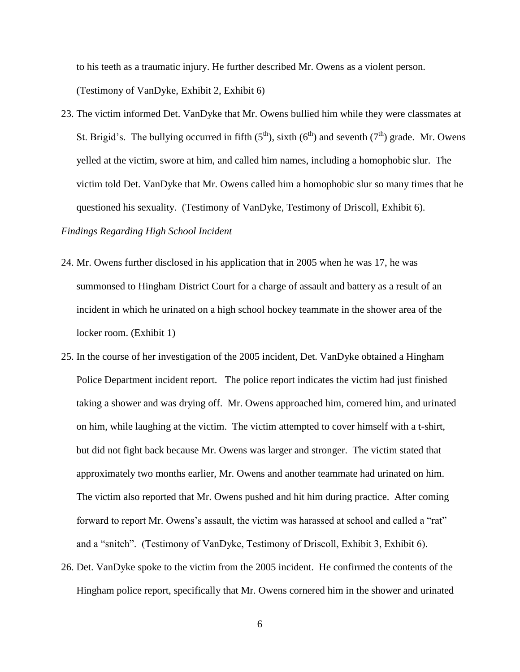to his teeth as a traumatic injury. He further described Mr. Owens as a violent person. (Testimony of VanDyke, Exhibit 2, Exhibit 6)

23. The victim informed Det. VanDyke that Mr. Owens bullied him while they were classmates at St. Brigid's. The bullying occurred in fifth  $(5<sup>th</sup>)$ , sixth  $(6<sup>th</sup>)$  and seventh  $(7<sup>th</sup>)$  grade. Mr. Owens yelled at the victim, swore at him, and called him names, including a homophobic slur. The victim told Det. VanDyke that Mr. Owens called him a homophobic slur so many times that he questioned his sexuality. (Testimony of VanDyke, Testimony of Driscoll, Exhibit 6).

## *Findings Regarding High School Incident*

- 24. Mr. Owens further disclosed in his application that in 2005 when he was 17, he was summonsed to Hingham District Court for a charge of assault and battery as a result of an incident in which he urinated on a high school hockey teammate in the shower area of the locker room. (Exhibit 1)
- 25. In the course of her investigation of the 2005 incident, Det. VanDyke obtained a Hingham Police Department incident report. The police report indicates the victim had just finished taking a shower and was drying off. Mr. Owens approached him, cornered him, and urinated on him, while laughing at the victim. The victim attempted to cover himself with a t-shirt, but did not fight back because Mr. Owens was larger and stronger. The victim stated that approximately two months earlier, Mr. Owens and another teammate had urinated on him. The victim also reported that Mr. Owens pushed and hit him during practice. After coming forward to report Mr. Owens's assault, the victim was harassed at school and called a "rat" and a "snitch". (Testimony of VanDyke, Testimony of Driscoll, Exhibit 3, Exhibit 6).
- 26. Det. VanDyke spoke to the victim from the 2005 incident. He confirmed the contents of the Hingham police report, specifically that Mr. Owens cornered him in the shower and urinated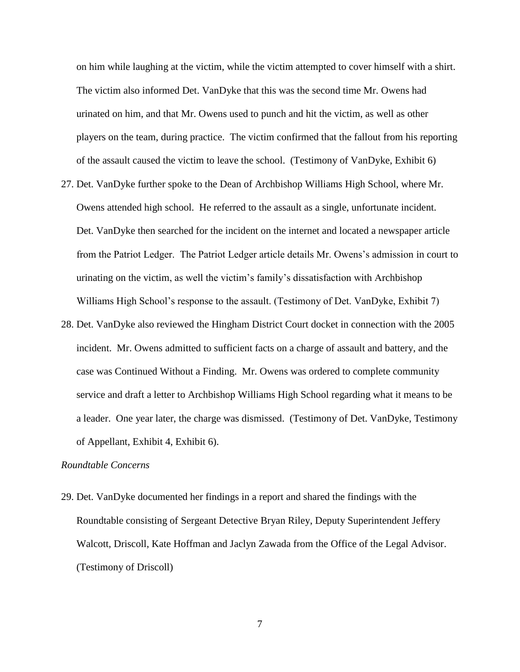on him while laughing at the victim, while the victim attempted to cover himself with a shirt. The victim also informed Det. VanDyke that this was the second time Mr. Owens had urinated on him, and that Mr. Owens used to punch and hit the victim, as well as other players on the team, during practice. The victim confirmed that the fallout from his reporting of the assault caused the victim to leave the school. (Testimony of VanDyke, Exhibit 6)

- 27. Det. VanDyke further spoke to the Dean of Archbishop Williams High School, where Mr. Owens attended high school. He referred to the assault as a single, unfortunate incident. Det. VanDyke then searched for the incident on the internet and located a newspaper article from the Patriot Ledger. The Patriot Ledger article details Mr. Owens's admission in court to urinating on the victim, as well the victim's family's dissatisfaction with Archbishop Williams High School's response to the assault. (Testimony of Det. VanDyke, Exhibit 7)
- 28. Det. VanDyke also reviewed the Hingham District Court docket in connection with the 2005 incident. Mr. Owens admitted to sufficient facts on a charge of assault and battery, and the case was Continued Without a Finding. Mr. Owens was ordered to complete community service and draft a letter to Archbishop Williams High School regarding what it means to be a leader. One year later, the charge was dismissed. (Testimony of Det. VanDyke, Testimony of Appellant, Exhibit 4, Exhibit 6).

## *Roundtable Concerns*

29. Det. VanDyke documented her findings in a report and shared the findings with the Roundtable consisting of Sergeant Detective Bryan Riley, Deputy Superintendent Jeffery Walcott, Driscoll, Kate Hoffman and Jaclyn Zawada from the Office of the Legal Advisor. (Testimony of Driscoll)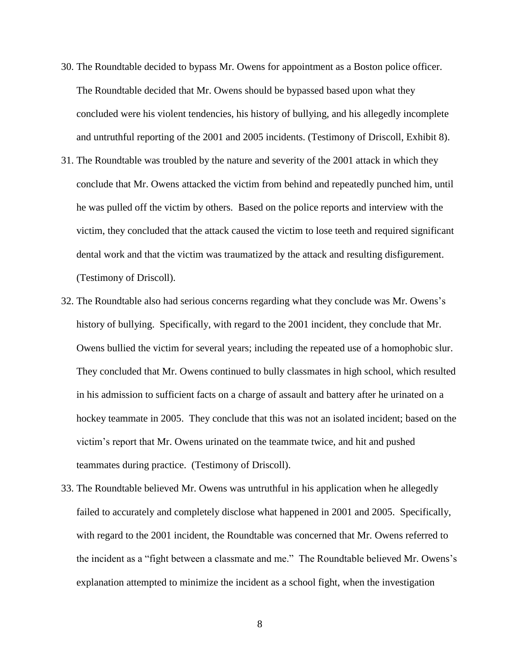- 30. The Roundtable decided to bypass Mr. Owens for appointment as a Boston police officer. The Roundtable decided that Mr. Owens should be bypassed based upon what they concluded were his violent tendencies, his history of bullying, and his allegedly incomplete and untruthful reporting of the 2001 and 2005 incidents. (Testimony of Driscoll, Exhibit 8).
- 31. The Roundtable was troubled by the nature and severity of the 2001 attack in which they conclude that Mr. Owens attacked the victim from behind and repeatedly punched him, until he was pulled off the victim by others. Based on the police reports and interview with the victim, they concluded that the attack caused the victim to lose teeth and required significant dental work and that the victim was traumatized by the attack and resulting disfigurement. (Testimony of Driscoll).
- 32. The Roundtable also had serious concerns regarding what they conclude was Mr. Owens's history of bullying. Specifically, with regard to the 2001 incident, they conclude that Mr. Owens bullied the victim for several years; including the repeated use of a homophobic slur. They concluded that Mr. Owens continued to bully classmates in high school, which resulted in his admission to sufficient facts on a charge of assault and battery after he urinated on a hockey teammate in 2005. They conclude that this was not an isolated incident; based on the victim's report that Mr. Owens urinated on the teammate twice, and hit and pushed teammates during practice. (Testimony of Driscoll).
- 33. The Roundtable believed Mr. Owens was untruthful in his application when he allegedly failed to accurately and completely disclose what happened in 2001 and 2005. Specifically, with regard to the 2001 incident, the Roundtable was concerned that Mr. Owens referred to the incident as a "fight between a classmate and me." The Roundtable believed Mr. Owens's explanation attempted to minimize the incident as a school fight, when the investigation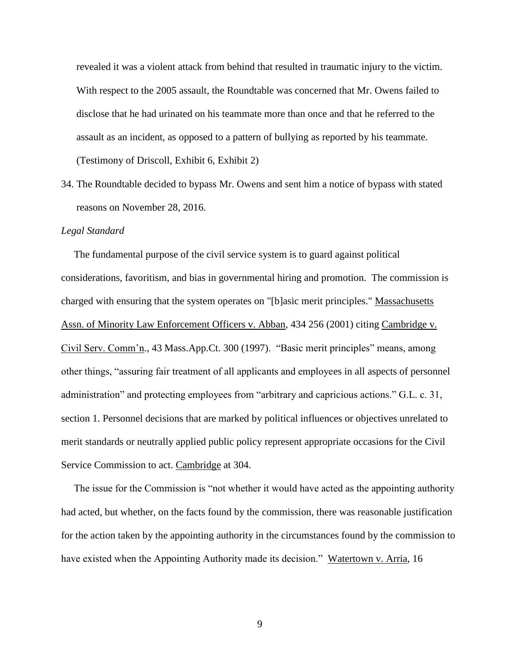revealed it was a violent attack from behind that resulted in traumatic injury to the victim. With respect to the 2005 assault, the Roundtable was concerned that Mr. Owens failed to disclose that he had urinated on his teammate more than once and that he referred to the assault as an incident, as opposed to a pattern of bullying as reported by his teammate. (Testimony of Driscoll, Exhibit 6, Exhibit 2)

34. The Roundtable decided to bypass Mr. Owens and sent him a notice of bypass with stated reasons on November 28, 2016.

#### *Legal Standard*

 The fundamental purpose of the civil service system is to guard against political considerations, favoritism, and bias in governmental hiring and promotion. The commission is charged with ensuring that the system operates on "[b]asic merit principles." Massachusetts Assn. of Minority Law Enforcement Officers v. Abban, 434 256 (2001) citing Cambridge v. Civil Serv. Comm'n., 43 Mass.App.Ct. 300 (1997). "Basic merit principles" means, among other things, "assuring fair treatment of all applicants and employees in all aspects of personnel administration" and protecting employees from "arbitrary and capricious actions." G.L. c. 31, section 1. Personnel decisions that are marked by political influences or objectives unrelated to merit standards or neutrally applied public policy represent appropriate occasions for the Civil Service Commission to act. Cambridge at 304.

 The issue for the Commission is "not whether it would have acted as the appointing authority had acted, but whether, on the facts found by the commission, there was reasonable justification for the action taken by the appointing authority in the circumstances found by the commission to have existed when the Appointing Authority made its decision." Watertown v. Arria, 16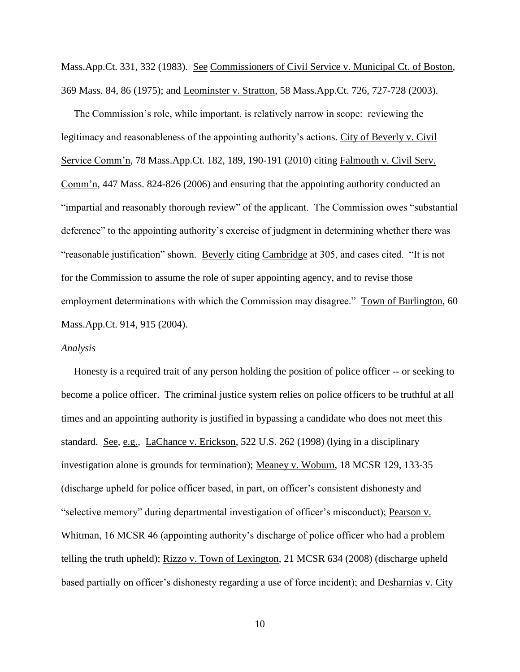Mass.App.Ct. 331, 332 (1983). See Commissioners of Civil Service v. Municipal Ct. of Boston, 369 Mass. 84, 86 (1975); and Leominster v. Stratton, 58 Mass.App.Ct. 726, 727-728 (2003).

 The Commission's role, while important, is relatively narrow in scope: reviewing the legitimacy and reasonableness of the appointing authority's actions. City of Beverly v. Civil Service Comm'n, 78 Mass.App.Ct. 182, 189, 190-191 (2010) citing Falmouth v. Civil Serv. Comm'n, 447 Mass. 824-826 (2006) and ensuring that the appointing authority conducted an "impartial and reasonably thorough review" of the applicant. The Commission owes "substantial deference" to the appointing authority's exercise of judgment in determining whether there was "reasonable justification" shown. Beverly citing Cambridge at 305, and cases cited. "It is not for the Commission to assume the role of super appointing agency, and to revise those employment determinations with which the Commission may disagree." Town of Burlington, 60 Mass.App.Ct. 914, 915 (2004).

#### *Analysis*

 Honesty is a required trait of any person holding the position of police officer -- or seeking to become a police officer. The criminal justice system relies on police officers to be truthful at all times and an appointing authority is justified in bypassing a candidate who does not meet this standard. See, e.g., LaChance v. Erickson, 522 U.S. 262 (1998) (lying in a disciplinary investigation alone is grounds for termination); Meaney v. Woburn, 18 MCSR 129, 133-35 (discharge upheld for police officer based, in part, on officer's consistent dishonesty and "selective memory" during departmental investigation of officer's misconduct); Pearson v. Whitman, 16 MCSR 46 (appointing authority's discharge of police officer who had a problem telling the truth upheld); Rizzo v. Town of Lexington, 21 MCSR 634 (2008) (discharge upheld based partially on officer's dishonesty regarding a use of force incident); and Desharnias v. City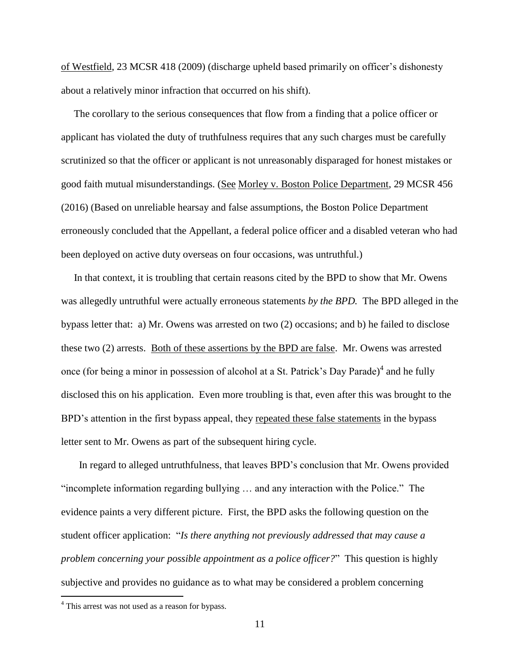of Westfield, 23 MCSR 418 (2009) (discharge upheld based primarily on officer's dishonesty about a relatively minor infraction that occurred on his shift).

 The corollary to the serious consequences that flow from a finding that a police officer or applicant has violated the duty of truthfulness requires that any such charges must be carefully scrutinized so that the officer or applicant is not unreasonably disparaged for honest mistakes or good faith mutual misunderstandings. (See Morley v. Boston Police Department, 29 MCSR 456 (2016) (Based on unreliable hearsay and false assumptions, the Boston Police Department erroneously concluded that the Appellant, a federal police officer and a disabled veteran who had been deployed on active duty overseas on four occasions, was untruthful.)

 In that context, it is troubling that certain reasons cited by the BPD to show that Mr. Owens was allegedly untruthful were actually erroneous statements *by the BPD.* The BPD alleged in the bypass letter that: a) Mr. Owens was arrested on two (2) occasions; and b) he failed to disclose these two (2) arrests. Both of these assertions by the BPD are false. Mr. Owens was arrested once (for being a minor in possession of alcohol at a St. Patrick's Day Parade)<sup>4</sup> and he fully disclosed this on his application. Even more troubling is that, even after this was brought to the BPD's attention in the first bypass appeal, they repeated these false statements in the bypass letter sent to Mr. Owens as part of the subsequent hiring cycle.

 In regard to alleged untruthfulness, that leaves BPD's conclusion that Mr. Owens provided "incomplete information regarding bullying … and any interaction with the Police." The evidence paints a very different picture. First, the BPD asks the following question on the student officer application: "*Is there anything not previously addressed that may cause a problem concerning your possible appointment as a police officer?*" This question is highly subjective and provides no guidance as to what may be considered a problem concerning

 $\overline{a}$ 

<sup>&</sup>lt;sup>4</sup> This arrest was not used as a reason for bypass.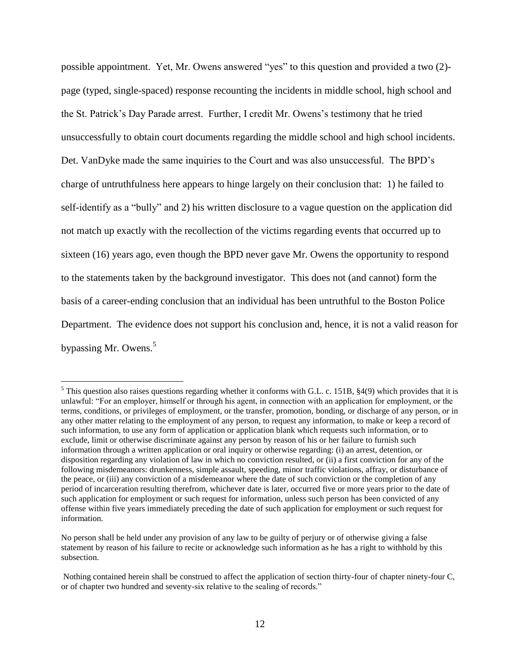possible appointment. Yet, Mr. Owens answered "yes" to this question and provided a two (2) page (typed, single-spaced) response recounting the incidents in middle school, high school and the St. Patrick's Day Parade arrest. Further, I credit Mr. Owens's testimony that he tried unsuccessfully to obtain court documents regarding the middle school and high school incidents. Det. VanDyke made the same inquiries to the Court and was also unsuccessful. The BPD's charge of untruthfulness here appears to hinge largely on their conclusion that: 1) he failed to self-identify as a "bully" and 2) his written disclosure to a vague question on the application did not match up exactly with the recollection of the victims regarding events that occurred up to sixteen (16) years ago, even though the BPD never gave Mr. Owens the opportunity to respond to the statements taken by the background investigator. This does not (and cannot) form the basis of a career-ending conclusion that an individual has been untruthful to the Boston Police Department. The evidence does not support his conclusion and, hence, it is not a valid reason for bypassing Mr. Owens.<sup>5</sup>

 $\overline{a}$ 

 $5$  This question also raises questions regarding whether it conforms with G.L. c. 151B,  $\S4(9)$  which provides that it is unlawful: "For an employer, himself or through his agent, in connection with an application for employment, or the terms, conditions, or privileges of employment, or the transfer, promotion, bonding, or discharge of any person, or in any other matter relating to the employment of any person, to request any information, to make or keep a record of such information, to use any form of application or application blank which requests such information, or to exclude, limit or otherwise discriminate against any person by reason of his or her failure to furnish such information through a written application or oral inquiry or otherwise regarding: (i) an arrest, detention, or disposition regarding any violation of law in which no conviction resulted, or (ii) a first conviction for any of the following misdemeanors: drunkenness, simple assault, speeding, minor traffic violations, affray, or disturbance of the peace, or (iii) any conviction of a misdemeanor where the date of such conviction or the completion of any period of incarceration resulting therefrom, whichever date is later, occurred five or more years prior to the date of such application for employment or such request for information, unless such person has been convicted of any offense within five years immediately preceding the date of such application for employment or such request for information.

No person shall be held under any provision of any law to be guilty of perjury or of otherwise giving a false statement by reason of his failure to recite or acknowledge such information as he has a right to withhold by this subsection.

Nothing contained herein shall be construed to affect the application of section thirty-four of chapter ninety-four C, or of chapter two hundred and seventy-six relative to the sealing of records."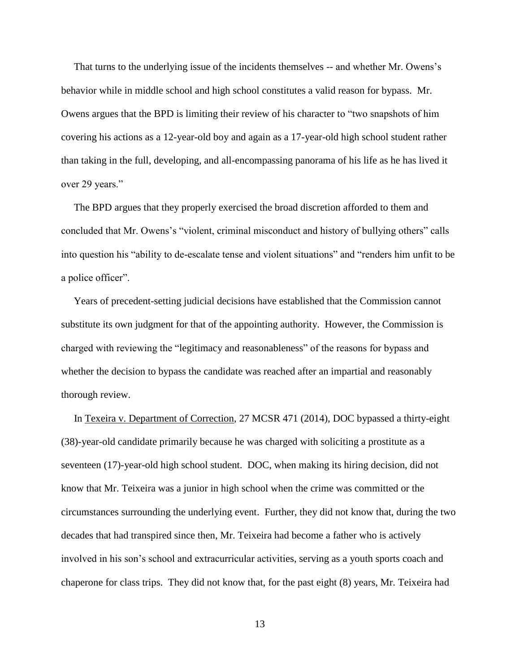That turns to the underlying issue of the incidents themselves -- and whether Mr. Owens's behavior while in middle school and high school constitutes a valid reason for bypass. Mr. Owens argues that the BPD is limiting their review of his character to "two snapshots of him covering his actions as a 12-year-old boy and again as a 17-year-old high school student rather than taking in the full, developing, and all-encompassing panorama of his life as he has lived it over 29 years."

 The BPD argues that they properly exercised the broad discretion afforded to them and concluded that Mr. Owens's "violent, criminal misconduct and history of bullying others" calls into question his "ability to de-escalate tense and violent situations" and "renders him unfit to be a police officer".

 Years of precedent-setting judicial decisions have established that the Commission cannot substitute its own judgment for that of the appointing authority. However, the Commission is charged with reviewing the "legitimacy and reasonableness" of the reasons for bypass and whether the decision to bypass the candidate was reached after an impartial and reasonably thorough review.

 In Texeira v. Department of Correction, 27 MCSR 471 (2014), DOC bypassed a thirty-eight (38)-year-old candidate primarily because he was charged with soliciting a prostitute as a seventeen (17)-year-old high school student. DOC, when making its hiring decision, did not know that Mr. Teixeira was a junior in high school when the crime was committed or the circumstances surrounding the underlying event. Further, they did not know that, during the two decades that had transpired since then, Mr. Teixeira had become a father who is actively involved in his son's school and extracurricular activities, serving as a youth sports coach and chaperone for class trips. They did not know that, for the past eight (8) years, Mr. Teixeira had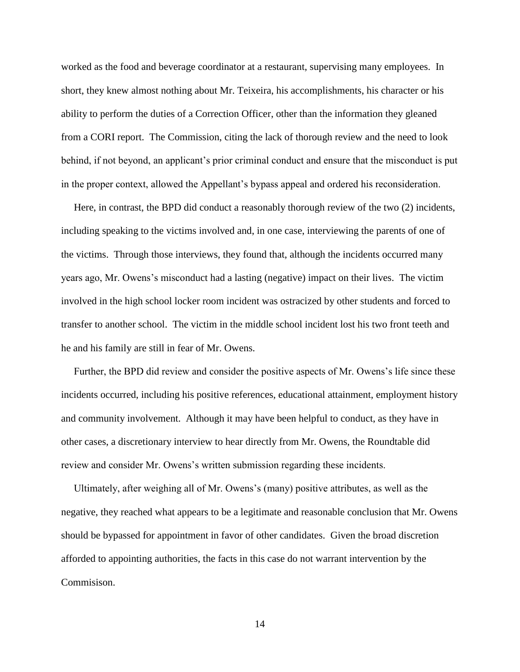worked as the food and beverage coordinator at a restaurant, supervising many employees. In short, they knew almost nothing about Mr. Teixeira, his accomplishments, his character or his ability to perform the duties of a Correction Officer, other than the information they gleaned from a CORI report. The Commission, citing the lack of thorough review and the need to look behind, if not beyond, an applicant's prior criminal conduct and ensure that the misconduct is put in the proper context, allowed the Appellant's bypass appeal and ordered his reconsideration.

 Here, in contrast, the BPD did conduct a reasonably thorough review of the two (2) incidents, including speaking to the victims involved and, in one case, interviewing the parents of one of the victims. Through those interviews, they found that, although the incidents occurred many years ago, Mr. Owens's misconduct had a lasting (negative) impact on their lives. The victim involved in the high school locker room incident was ostracized by other students and forced to transfer to another school. The victim in the middle school incident lost his two front teeth and he and his family are still in fear of Mr. Owens.

 Further, the BPD did review and consider the positive aspects of Mr. Owens's life since these incidents occurred, including his positive references, educational attainment, employment history and community involvement. Although it may have been helpful to conduct, as they have in other cases, a discretionary interview to hear directly from Mr. Owens, the Roundtable did review and consider Mr. Owens's written submission regarding these incidents.

 Ultimately, after weighing all of Mr. Owens's (many) positive attributes, as well as the negative, they reached what appears to be a legitimate and reasonable conclusion that Mr. Owens should be bypassed for appointment in favor of other candidates. Given the broad discretion afforded to appointing authorities, the facts in this case do not warrant intervention by the Commisison.